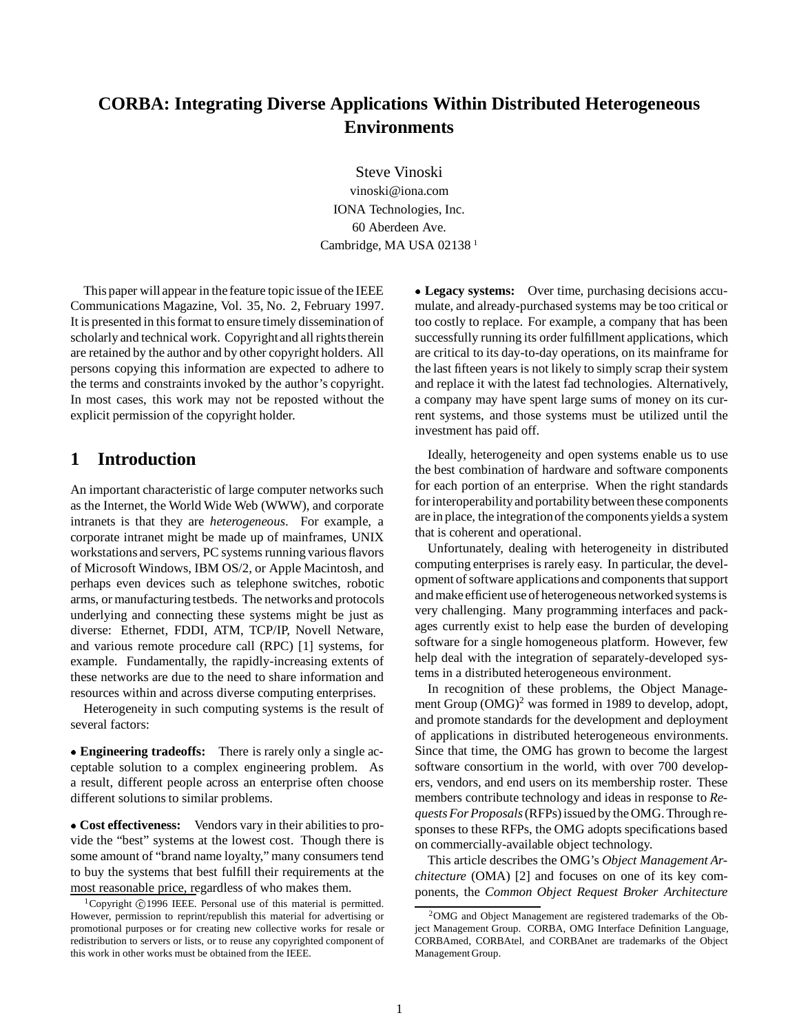# **CORBA: Integrating Diverse Applications Within Distributed Heterogeneous Environments**

Steve Vinoski vinoski@iona.com IONA Technologies, Inc. 60 Aberdeen Ave. Cambridge, MA USA 02138<sup>1</sup>

This paper will appear in the feature topic issue of the IEEE Communications Magazine, Vol. 35, No. 2, February 1997. It is presented in this format to ensure timely dissemination of scholarly and technical work. Copyright and all rights therein are retained by the author and by other copyright holders. All persons copying this information are expected to adhere to the terms and constraints invoked by the author's copyright. In most cases, this work may not be reposted without the explicit permission of the copyright holder.

### **1 Introduction**

An important characteristic of large computer networks such as the Internet, the World Wide Web (WWW), and corporate intranets is that they are *heterogeneous*. For example, a corporate intranet might be made up of mainframes, UNIX workstations and servers, PC systems running various flavors of Microsoft Windows, IBM OS/2, or Apple Macintosh, and perhaps even devices such as telephone switches, robotic arms, or manufacturing testbeds. The networks and protocols underlying and connecting these systems might be just as diverse: Ethernet, FDDI, ATM, TCP/IP, Novell Netware, and various remote procedure call (RPC) [1] systems, for example. Fundamentally, the rapidly-increasing extents of these networks are due to the need to share information and resources within and across diverse computing enterprises.

Heterogeneity in such computing systems is the result of several factors:

 **Engineering tradeoffs:** There is rarely only a single acceptable solution to a complex engineering problem. As a result, different people across an enterprise often choose different solutions to similar problems.

 **Cost effectiveness:** Vendors vary in their abilities to provide the "best" systems at the lowest cost. Though there is some amount of "brand name loyalty," many consumers tend to buy the systems that best fulfill their requirements at the most reasonable price, regardless of who makes them.

 **Legacy systems:** Over time, purchasing decisions accumulate, and already-purchased systems may be too critical or too costly to replace. For example, a company that has been successfully running its order fulfillment applications, which are critical to its day-to-day operations, on its mainframe for the last fifteen years is not likely to simply scrap their system and replace it with the latest fad technologies. Alternatively, a company may have spent large sums of money on its current systems, and those systems must be utilized until the investment has paid off.

Ideally, heterogeneity and open systems enable us to use the best combination of hardware and software components for each portion of an enterprise. When the right standards for interoperability and portability between these components are in place, the integrationof the components yields a system that is coherent and operational.

Unfortunately, dealing with heterogeneity in distributed computing enterprises is rarely easy. In particular, the development of software applications and components that support and make efficient use of heterogeneous networked systems is very challenging. Many programming interfaces and packages currently exist to help ease the burden of developing software for a single homogeneous platform. However, few help deal with the integration of separately-developed systems in a distributed heterogeneous environment.

In recognition of these problems, the Object Management Group  $(OMG)^2$  was formed in 1989 to develop, adopt, and promote standards for the development and deployment of applications in distributed heterogeneous environments. Since that time, the OMG has grown to become the largest software consortium in the world, with over 700 developers, vendors, and end users on its membership roster. These members contribute technology and ideas in response to *Requests For Proposals*(RFPs) issued by the OMG. Through responses to these RFPs, the OMG adopts specifications based on commercially-available object technology.

This article describes the OMG's *Object Management Architecture* (OMA) [2] and focuses on one of its key components, the *Common Object Request Broker Architecture*

<sup>&</sup>lt;sup>1</sup>Copyright  $\odot$  1996 IEEE. Personal use of this material is permitted. However, permission to reprint/republish this material for advertising or promotional purposes or for creating new collective works for resale or redistribution to servers or lists, or to reuse any copyrighted component of this work in other works must be obtained from the IEEE.

<sup>2</sup>OMG and Object Management are registered trademarks of the Object Management Group. CORBA, OMG Interface Definition Language, CORBAmed, CORBAtel, and CORBAnet are trademarks of the Object Management Group.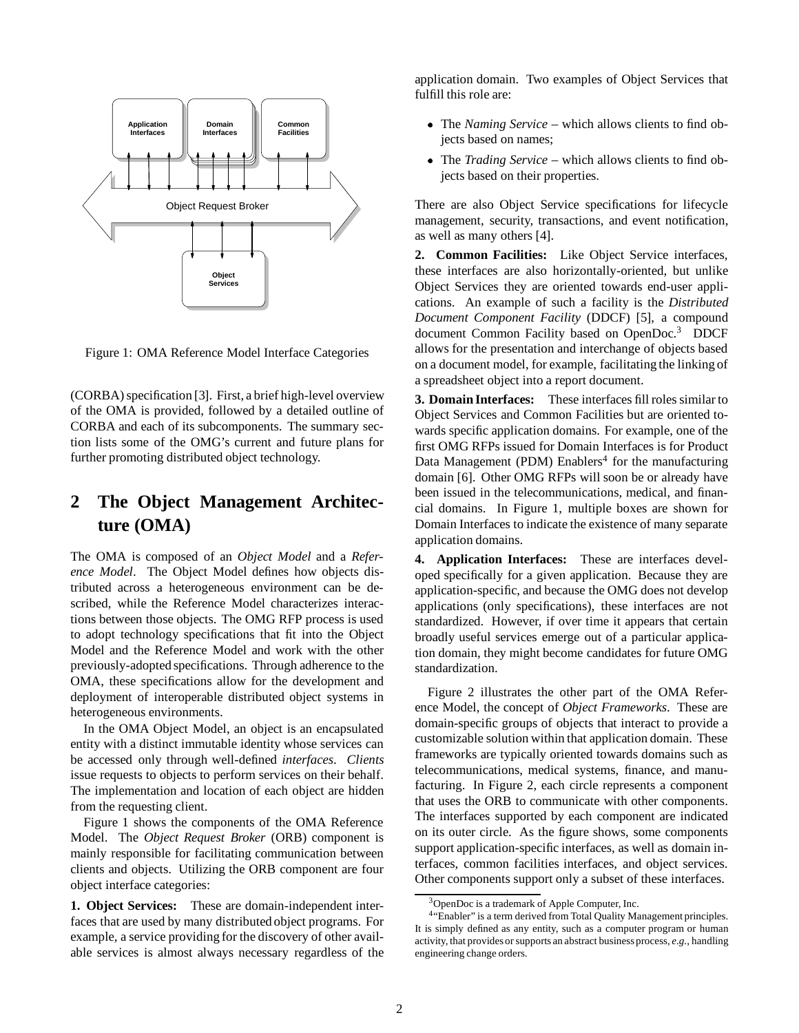

Figure 1: OMA Reference Model Interface Categories

(CORBA) specification [3]. First, a brief high-level overview of the OMA is provided, followed by a detailed outline of CORBA and each of its subcomponents. The summary section lists some of the OMG's current and future plans for further promoting distributed object technology.

# **2 The Object Management Architecture (OMA)**

The OMA is composed of an *Object Model* and a *Reference Model*. The Object Model defines how objects distributed across a heterogeneous environment can be described, while the Reference Model characterizes interactions between those objects. The OMG RFP process is used to adopt technology specifications that fit into the Object Model and the Reference Model and work with the other previously-adopted specifications. Through adherence to the OMA, these specifications allow for the development and deployment of interoperable distributed object systems in heterogeneous environments.

In the OMA Object Model, an object is an encapsulated entity with a distinct immutable identity whose services can be accessed only through well-defined *interfaces*. *Clients* issue requests to objects to perform services on their behalf. The implementation and location of each object are hidden from the requesting client.

Figure 1 shows the components of the OMA Reference Model. The *Object Request Broker* (ORB) component is mainly responsible for facilitating communication between clients and objects. Utilizing the ORB component are four object interface categories:

**1. Object Services:** These are domain-independent interfaces that are used by many distributed object programs. For example, a service providing for the discovery of other available services is almost always necessary regardless of the application domain. Two examples of Object Services that fulfill this role are:

- The*Naming Service* which allows clients to find objects based on names;
- The*Trading Service* which allows clients to find objects based on their properties.

There are also Object Service specifications for lifecycle management, security, transactions, and event notification, as well as many others [4].

**2. Common Facilities:** Like Object Service interfaces, these interfaces are also horizontally-oriented, but unlike Object Services they are oriented towards end-user applications. An example of such a facility is the *Distributed Document Component Facility* (DDCF) [5], a compound document Common Facility based on OpenDoc.<sup>3</sup> DDCF allows for the presentation and interchange of objects based on a document model, for example, facilitating the linking of a spreadsheet object into a report document.

**3. Domain Interfaces:** These interfaces fill roles similar to Object Services and Common Facilities but are oriented towards specific application domains. For example, one of the first OMG RFPs issued for Domain Interfaces is for Product Data Management (PDM) Enablers<sup>4</sup> for the manufacturing domain [6]. Other OMG RFPs will soon be or already have been issued in the telecommunications, medical, and financial domains. In Figure 1, multiple boxes are shown for Domain Interfaces to indicate the existence of many separate application domains.

**4. Application Interfaces:** These are interfaces developed specifically for a given application. Because they are application-specific, and because the OMG does not develop applications (only specifications), these interfaces are not standardized. However, if over time it appears that certain broadly useful services emerge out of a particular application domain, they might become candidates for future OMG standardization.

Figure 2 illustrates the other part of the OMA Reference Model, the concept of *Object Frameworks*. These are domain-specific groups of objects that interact to provide a customizable solution within that application domain. These frameworks are typically oriented towards domains such as telecommunications, medical systems, finance, and manufacturing. In Figure 2, each circle represents a component that uses the ORB to communicate with other components. The interfaces supported by each component are indicated on its outer circle. As the figure shows, some components support application-specific interfaces, as well as domain interfaces, common facilities interfaces, and object services. Other components support only a subset of these interfaces.

<sup>&</sup>lt;sup>3</sup>OpenDoc is a trademark of Apple Computer, Inc.

<sup>&</sup>lt;sup>4</sup>"Enabler" is a term derived from Total Quality Management principles. It is simply defined as any entity, such as a computer program or human activity, that provides or supports an abstract business process, e.g., handling engineering change orders.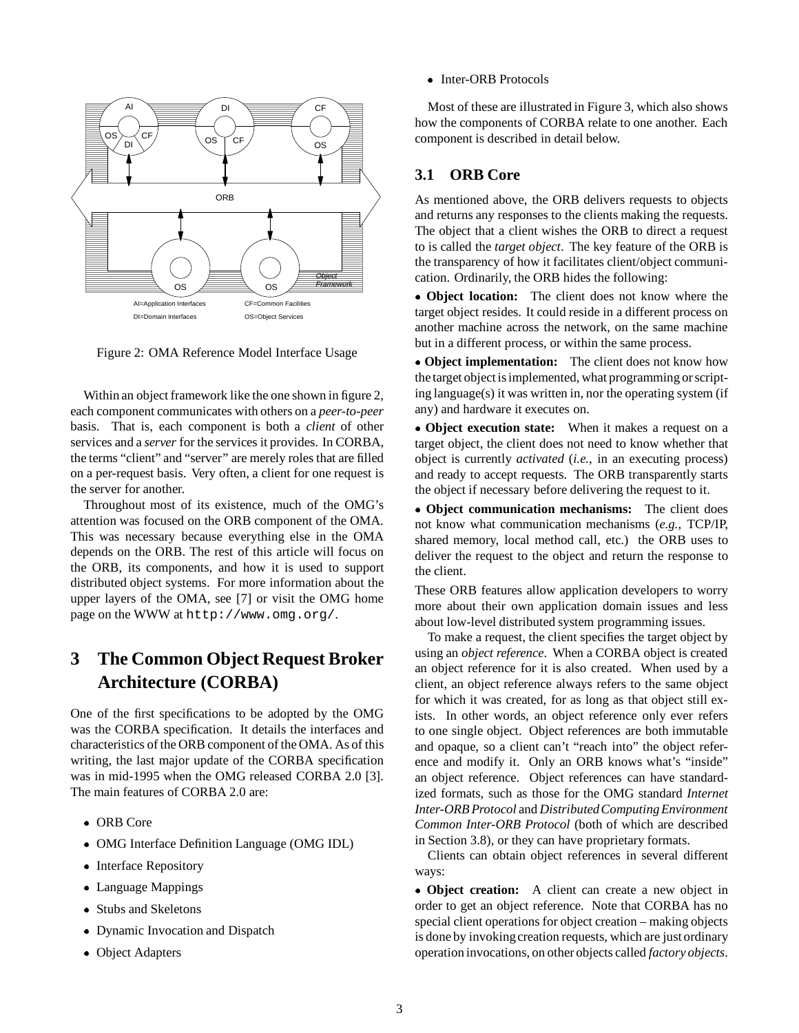

Figure 2: OMA Reference Model Interface Usage

Within an object framework like the one shown in figure 2, each component communicates with others on a *peer-to-peer* basis. That is, each component is both a *client* of other services and a *server* for the services it provides. In CORBA, the terms "client" and "server" are merely roles that are filled on a per-request basis. Very often, a client for one request is the server for another.

Throughout most of its existence, much of the OMG's attention was focused on the ORB component of the OMA. This was necessary because everything else in the OMA depends on the ORB. The rest of this article will focus on the ORB, its components, and how it is used to support distributed object systems. For more information about the upper layers of the OMA, see [7] or visit the OMG home page on the WWW at http://www.omg.org/.

## **3 The Common Object Request Broker Architecture (CORBA)**

One of the first specifications to be adopted by the OMG was the CORBA specification. It details the interfaces and characteristics of the ORB component of the OMA. As of this writing, the last major update of the CORBA specification was in mid-1995 when the OMG released CORBA 2.0 [3]. The main features of CORBA 2.0 are:

- ORB Core
- OMG Interface Definition Language (OMG IDL)
- Interface Repository
- Language Mappings
- Stubs and Skeletons
- Dynamic Invocation and Dispatch
- Object Adapters

• Inter-ORB Protocols

Most of these are illustrated in Figure 3, which also shows how the components of CORBA relate to one another. Each component is described in detail below.

### **3.1 ORB Core**

As mentioned above, the ORB delivers requests to objects and returns any responses to the clients making the requests. The object that a client wishes the ORB to direct a request to is called the *target object*. The key feature of the ORB is the transparency of how it facilitates client/object communication. Ordinarily, the ORB hides the following:

 **Object location:** The client does not know where the target object resides. It could reside in a different process on another machine across the network, on the same machine but in a different process, or within the same process.

 **Object implementation:** The client does not know how the target object is implemented, what programming or scripting language(s) it was written in, nor the operating system (if any) and hardware it executes on.

 **Object execution state:** When it makes a request on a target object, the client does not need to know whether that object is currently *activated* (*i.e.*, in an executing process) and ready to accept requests. The ORB transparently starts the object if necessary before delivering the request to it.

 **Object communication mechanisms:** The client does not know what communication mechanisms (*e.g.*, TCP/IP, shared memory, local method call, etc.) the ORB uses to deliver the request to the object and return the response to the client.

These ORB features allow application developers to worry more about their own application domain issues and less about low-level distributed system programming issues.

To make a request, the client specifies the target object by using an *object reference*. When a CORBA object is created an object reference for it is also created. When used by a client, an object reference always refers to the same object for which it was created, for as long as that object still exists. In other words, an object reference only ever refers to one single object. Object references are both immutable and opaque, so a client can't "reach into" the object reference and modify it. Only an ORB knows what's "inside" an object reference. Object references can have standardized formats, such as those for the OMG standard *Internet Inter-ORB Protocol* and *DistributedComputingEnvironment Common Inter-ORB Protocol* (both of which are described in Section 3.8), or they can have proprietary formats.

Clients can obtain object references in several different ways:

 **Object creation:** A client can create a new object in order to get an object reference. Note that CORBA has no special client operations for object creation – making objects is done by invoking creation requests, which are just ordinary operation invocations, on other objects called *factory objects*.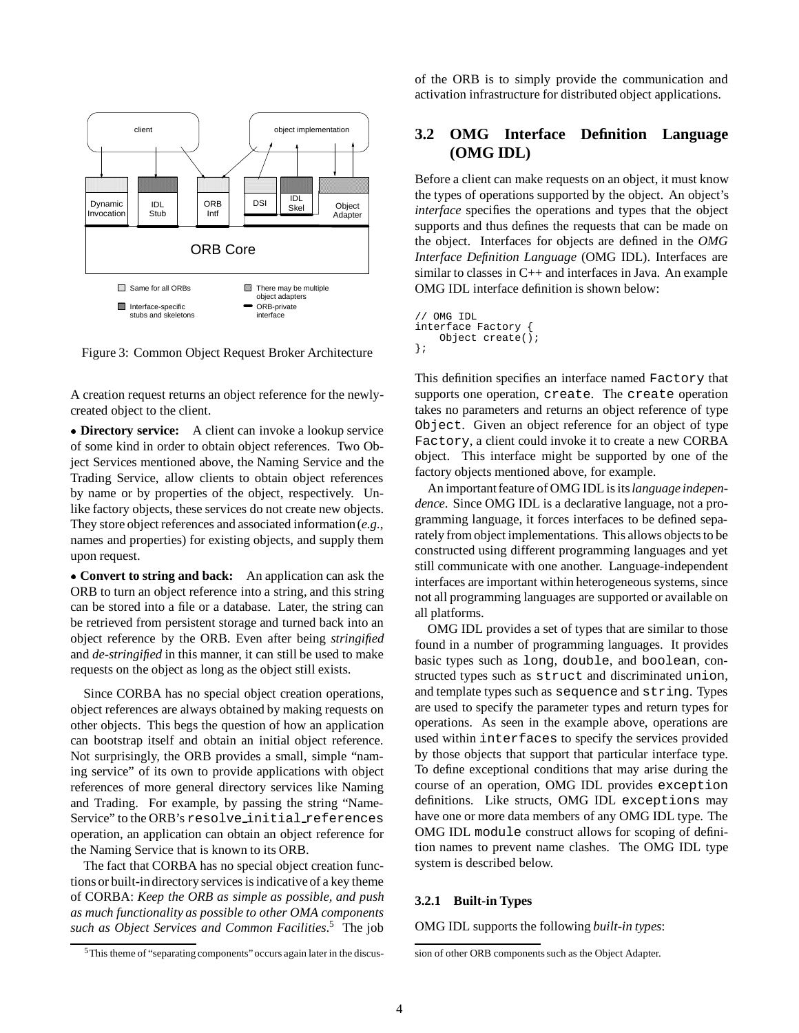

Figure 3: Common Object Request Broker Architecture

A creation request returns an object reference for the newlycreated object to the client.

 **Directory service:** A client can invoke a lookup service of some kind in order to obtain object references. Two Object Services mentioned above, the Naming Service and the Trading Service, allow clients to obtain object references by name or by properties of the object, respectively. Unlike factory objects, these services do not create new objects. They store object references and associated information(*e.g.*, names and properties) for existing objects, and supply them upon request.

 **Convert to string and back:** An application can ask the ORB to turn an object reference into a string, and this string can be stored into a file or a database. Later, the string can be retrieved from persistent storage and turned back into an object reference by the ORB. Even after being *stringified* and *de-stringified* in this manner, it can still be used to make requests on the object as long as the object still exists.

Since CORBA has no special object creation operations, object references are always obtained by making requests on other objects. This begs the question of how an application can bootstrap itself and obtain an initial object reference. Not surprisingly, the ORB provides a small, simple "naming service" of its own to provide applications with object references of more general directory services like Naming and Trading. For example, by passing the string "Name-Service" to the ORB's resolve initial references operation, an application can obtain an object reference for the Naming Service that is known to its ORB.

The fact that CORBA has no special object creation functions or built-indirectory services is indicative of a key theme of CORBA: *Keep the ORB as simple as possible, and push as much functionality as possible to other OMA components such as Object Services and Common Facilities*. <sup>5</sup> The job

of the ORB is to simply provide the communication and activation infrastructure for distributed object applications.

### **3.2 OMG Interface Definition Language (OMG IDL)**

Before a client can make requests on an object, it must know the types of operations supported by the object. An object's *interface* specifies the operations and types that the object supports and thus defines the requests that can be made on the object. Interfaces for objects are defined in the *OMG Interface Definition Language* (OMG IDL). Interfaces are similar to classes in  $C_{++}$  and interfaces in Java. An example OMG IDL interface definition is shown below:

```
// OMG IDL
interface Factory {
    Object create();
};
```
This definition specifies an interface named Factory that supports one operation, create. The create operation takes no parameters and returns an object reference of type Object. Given an object reference for an object of type Factory, a client could invoke it to create a new CORBA object. This interface might be supported by one of the factory objects mentioned above, for example.

An important feature of OMG IDL is its*language independence*. Since OMG IDL is a declarative language, not a programming language, it forces interfaces to be defined separately from object implementations. This allows objects to be constructed using different programming languages and yet still communicate with one another. Language-independent interfaces are important within heterogeneous systems, since not all programming languages are supported or available on all platforms.

OMG IDL provides a set of types that are similar to those found in a number of programming languages. It provides basic types such as long, double, and boolean, constructed types such as struct and discriminated union, and template types such as sequence and string. Types are used to specify the parameter types and return types for operations. As seen in the example above, operations are used within interfaces to specify the services provided by those objects that support that particular interface type. To define exceptional conditions that may arise during the course of an operation, OMG IDL provides exception definitions. Like structs, OMG IDL exceptions may have one or more data members of any OMG IDL type. The OMG IDL module construct allows for scoping of definition names to prevent name clashes. The OMG IDL type system is described below.

### **3.2.1 Built-in Types**

OMG IDL supports the following *built-in types*:

<sup>5</sup>This theme of "separating components" occurs again later in the discus-

sion of other ORB components such as the Object Adapter.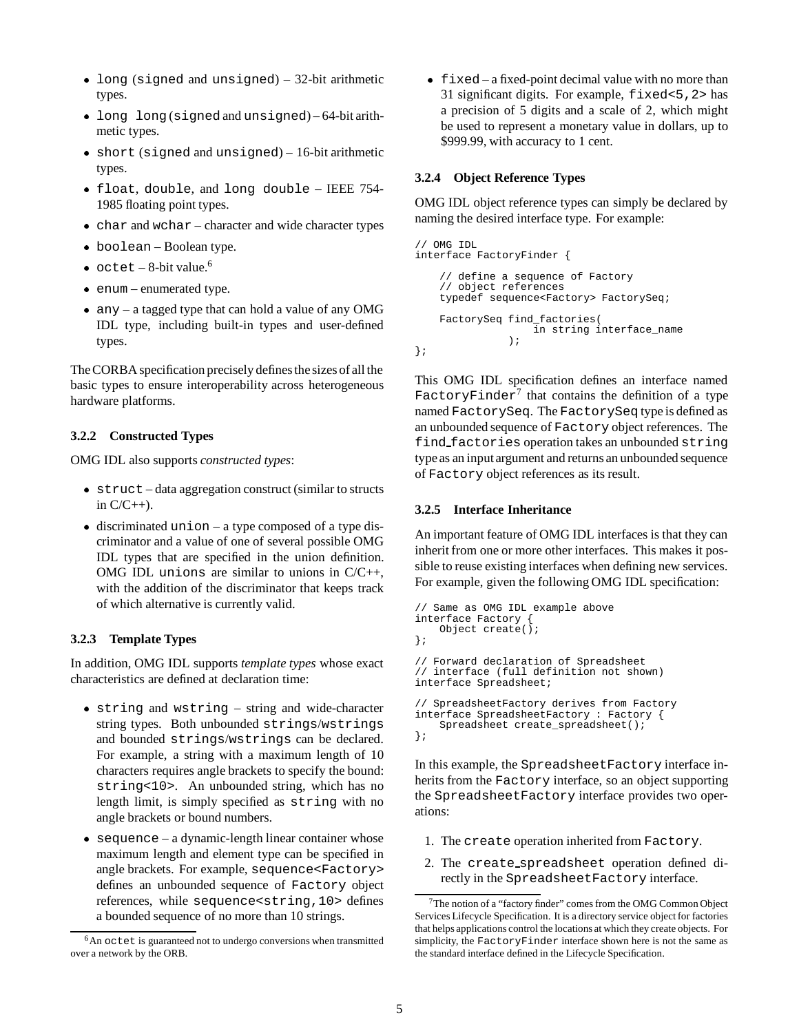- long (signed and unsigned) 32-bit arithmetic types.
- long long (signed and unsigned) 64-bit arithmetic types.
- short (signed and unsigned) 16-bit arithmetic types.
- float, double, and long double IEEE 754- 1985 floating point types.
- char and wchar character and wide character types
- boolean Boolean type.
- $\bullet$  octet 8-bit value.<sup>6</sup>
- enum enumerated type.
- any a tagged type that can hold a value of any OMG IDL type, including built-in types and user-defined types.

The CORBA specification precisely defines the sizes of all the basic types to ensure interoperability across heterogeneous hardware platforms.

#### **3.2.2 Constructed Types**

OMG IDL also supports *constructed types*:

- struct data aggregation construct (similar to structs in  $C/C_{++}$ ).
- discriminated union a type composed of a type discriminator and a value of one of several possible OMG IDL types that are specified in the union definition. OMG IDL unions are similar to unions in  $C/C++$ , with the addition of the discriminator that keeps track of which alternative is currently valid.

### **3.2.3 Template Types**

In addition, OMG IDL supports *template types* whose exact characteristics are defined at declaration time:

- string and wstring string and wide-character string types. Both unbounded strings/wstrings and bounded strings/wstrings can be declared. For example, a string with a maximum length of 10 characters requires angle brackets to specify the bound: string<10>. An unbounded string, which has no length limit, is simply specified as string with no angle brackets or bound numbers.
- sequence a dynamic-length linear container whose maximum length and element type can be specified in angle brackets. For example, sequence<Factory> defines an unbounded sequence of Factory object references, while sequence<string,10> defines a bounded sequence of no more than 10 strings.

 $\bullet$  fixed – a fixed-point decimal value with no more than 31 significant digits. For example, fixed<5,2> has a precision of 5 digits and a scale of 2, which might be used to represent a monetary value in dollars, up to \$999.99, with accuracy to 1 cent.

#### **3.2.4 Object Reference Types**

OMG IDL object reference types can simply be declared by naming the desired interface type. For example:

```
// OMG IDL
interface FactoryFinder {
    // define a sequence of Factory
    // object references
    typedef sequence<Factory> FactorySeq;
    FactorySeq find_factories(
                    in string interface_name
               \lambda:
};
```
This OMG IDL specification defines an interface named FactoryFinder<sup>7</sup> that contains the definition of a type named FactorySeq. The FactorySeq type is defined as an unbounded sequence of Factory object references. The find factories operation takes an unbounded string type as an input argument and returns an unbounded sequence of Factory object references as its result.

### **3.2.5 Interface Inheritance**

An important feature of OMG IDL interfaces is that they can inherit from one or more other interfaces. This makes it possible to reuse existing interfaces when defining new services. For example, given the following OMG IDL specification:

```
// Same as OMG IDL example above
interface Factory {
   Object create();
};
// Forward declaration of Spreadsheet
// interface (full definition not shown)
interface Spreadsheet;
// SpreadsheetFactory derives from Factory
interface SpreadsheetFactory : Factory {
    Spreadsheet create_spreadsheet();
};
```
In this example, the SpreadsheetFactory interface inherits from the Factory interface, so an object supporting the SpreadsheetFactory interface provides two operations:

- 1. The create operation inherited from Factory.
- 2. The create spreadsheet operation defined directly in the SpreadsheetFactory interface.

 $6$ An octet is guaranteed not to undergo conversions when transmitted over a network by the ORB.

 $7$ The notion of a "factory finder" comes from the OMG Common Object Services Lifecycle Specification. It is a directory service object for factories that helps applications control the locations at which they create objects. For simplicity, the FactoryFinder interface shown here is not the same as the standard interface defined in the Lifecycle Specification.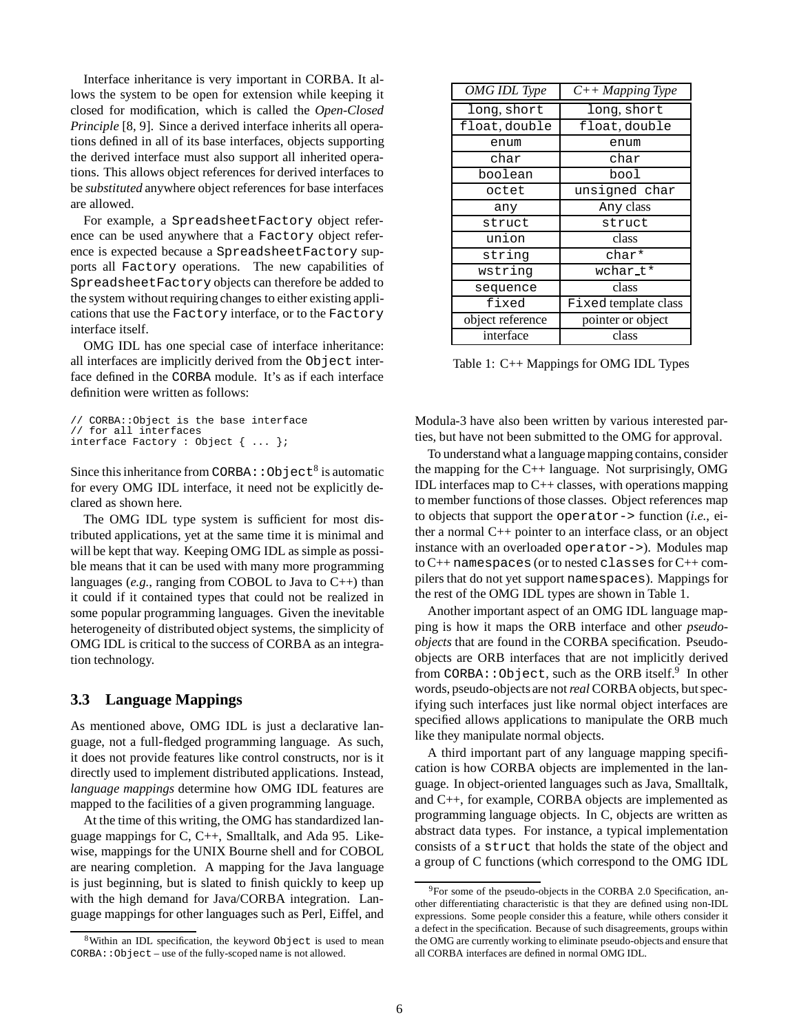Interface inheritance is very important in CORBA. It allows the system to be open for extension while keeping it closed for modification, which is called the *Open-Closed Principle* [8, 9]. Since a derived interface inherits all operations defined in all of its base interfaces, objects supporting the derived interface must also support all inherited operations. This allows object references for derived interfaces to be *substituted* anywhere object references for base interfaces are allowed.

For example, a SpreadsheetFactory object reference can be used anywhere that a Factory object reference is expected because a SpreadsheetFactory supports all Factory operations. The new capabilities of SpreadsheetFactory objects can therefore be added to the system without requiring changes to either existing applications that use the Factory interface, or to the Factory interface itself.

OMG IDL has one special case of interface inheritance: all interfaces are implicitly derived from the Object interface defined in the CORBA module. It's as if each interface definition were written as follows:

```
// CORBA::Object is the base interface
// for all interfaces
interface Factory : Object { ... };
```
Since this inheritance from CORBA:  $:$  Object<sup>8</sup> is automatic for every OMG IDL interface, it need not be explicitly declared as shown here.

The OMG IDL type system is sufficient for most distributed applications, yet at the same time it is minimal and will be kept that way. Keeping OMG IDL as simple as possible means that it can be used with many more programming languages (*e.g.*, ranging from COBOL to Java to C++) than it could if it contained types that could not be realized in some popular programming languages. Given the inevitable heterogeneity of distributed object systems, the simplicity of OMG IDL is critical to the success of CORBA as an integration technology.

### **3.3 Language Mappings**

As mentioned above, OMG IDL is just a declarative language, not a full-fledged programming language. As such, it does not provide features like control constructs, nor is it directly used to implement distributed applications. Instead, *language mappings* determine how OMG IDL features are mapped to the facilities of a given programming language.

At the time of this writing, the OMG has standardized language mappings for C, C++, Smalltalk, and Ada 95. Likewise, mappings for the UNIX Bourne shell and for COBOL are nearing completion. A mapping for the Java language is just beginning, but is slated to finish quickly to keep up with the high demand for Java/CORBA integration. Language mappings for other languages such as Perl, Eiffel, and

| <b>OMG IDL Type</b> | $C++$ Mapping Type   |
|---------------------|----------------------|
| long, short         | long, short          |
| float, double       | float, double        |
| enum                | enum                 |
| char                | char                 |
| boolean             | bool                 |
| octet               | unsigned char        |
| any                 | Any class            |
| struct              | struct               |
| union               | class                |
| string              | char*                |
| wstring             | wchar_t*             |
| sequence            | class                |
| fixed               | Fixed template class |
| object reference    | pointer or object    |
| interface           | class                |

Table 1: C++ Mappings for OMG IDL Types

Modula-3 have also been written by various interested parties, but have not been submitted to the OMG for approval.

To understand what a language mapping contains, consider the mapping for the  $C_{++}$  language. Not surprisingly, OMG IDL interfaces map to  $C++$  classes, with operations mapping to member functions of those classes. Object references map to objects that support the operator-> function (*i.e.*, either a normal C++ pointer to an interface class, or an object instance with an overloaded operator->). Modules map to C++ namespaces (or to nested classes for C++ compilers that do not yet support namespaces). Mappings for the rest of the OMG IDL types are shown in Table 1.

Another important aspect of an OMG IDL language mapping is how it maps the ORB interface and other *pseudoobjects* that are found in the CORBA specification. Pseudoobjects are ORB interfaces that are not implicitly derived from CORBA: : Object, such as the ORB itself.<sup>9</sup> In other words, pseudo-objects are not*real* CORBA objects, but specifying such interfaces just like normal object interfaces are specified allows applications to manipulate the ORB much like they manipulate normal objects.

A third important part of any language mapping specification is how CORBA objects are implemented in the language. In object-oriented languages such as Java, Smalltalk, and C++, for example, CORBA objects are implemented as programming language objects. In C, objects are written as abstract data types. For instance, a typical implementation consists of a struct that holds the state of the object and a group of C functions (which correspond to the OMG IDL

<sup>&</sup>lt;sup>8</sup>Within an IDL specification, the keyword Object is used to mean CORBA::Object – use of the fully-scoped name is not allowed.

 $^{9}$ For some of the pseudo-objects in the CORBA 2.0 Specification, another differentiating characteristic is that they are defined using non-IDL expressions. Some people consider this a feature, while others consider it a defect in the specification. Because of such disagreements, groups within the OMG are currently working to eliminate pseudo-objects and ensure that all CORBA interfaces are defined in normal OMG IDL.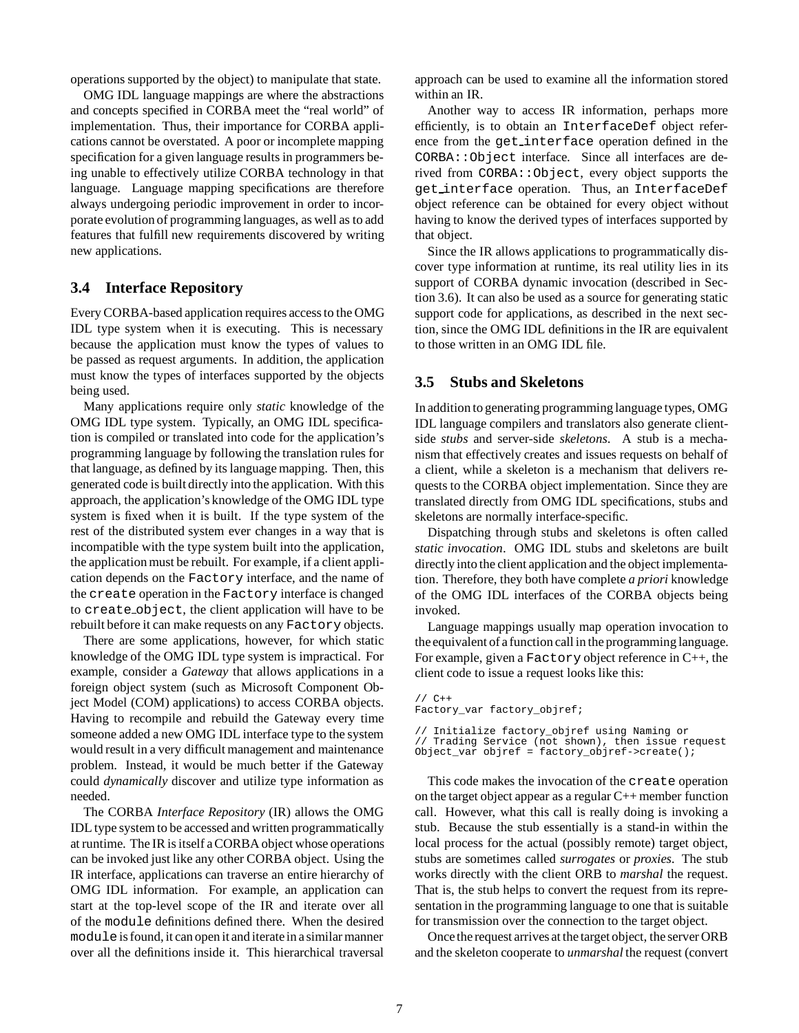operations supported by the object) to manipulate that state.

OMG IDL language mappings are where the abstractions and concepts specified in CORBA meet the "real world" of implementation. Thus, their importance for CORBA applications cannot be overstated. A poor or incomplete mapping specification for a given language results in programmers being unable to effectively utilize CORBA technology in that language. Language mapping specifications are therefore always undergoing periodic improvement in order to incorporate evolution of programming languages, as well as to add features that fulfill new requirements discovered by writing new applications.

### **3.4 Interface Repository**

Every CORBA-based application requires access to the OMG IDL type system when it is executing. This is necessary because the application must know the types of values to be passed as request arguments. In addition, the application must know the types of interfaces supported by the objects being used.

Many applications require only *static* knowledge of the OMG IDL type system. Typically, an OMG IDL specification is compiled or translated into code for the application's programming language by following the translation rules for that language, as defined by its language mapping. Then, this generated code is built directly into the application. With this approach, the application's knowledge of the OMG IDL type system is fixed when it is built. If the type system of the rest of the distributed system ever changes in a way that is incompatible with the type system built into the application, the application must be rebuilt. For example, if a client application depends on the Factory interface, and the name of the create operation in the Factory interface is changed to create object, the client application will have to be rebuilt before it can make requests on any Factory objects.

There are some applications, however, for which static knowledge of the OMG IDL type system is impractical. For example, consider a *Gateway* that allows applications in a foreign object system (such as Microsoft Component Object Model (COM) applications) to access CORBA objects. Having to recompile and rebuild the Gateway every time someone added a new OMG IDL interface type to the system would result in a very difficult management and maintenance problem. Instead, it would be much better if the Gateway could *dynamically* discover and utilize type information as needed.

The CORBA *Interface Repository* (IR) allows the OMG IDL type system to be accessed and written programmatically at runtime. The IR is itself a CORBA object whose operations can be invoked just like any other CORBA object. Using the IR interface, applications can traverse an entire hierarchy of OMG IDL information. For example, an application can start at the top-level scope of the IR and iterate over all of the module definitions defined there. When the desired module is found, it can open it and iterate in a similar manner over all the definitions inside it. This hierarchical traversal

approach can be used to examine all the information stored within an IR.

Another way to access IR information, perhaps more efficiently, is to obtain an InterfaceDef object reference from the get interface operation defined in the CORBA::Object interface. Since all interfaces are derived from CORBA::Object, every object supports the get interface operation. Thus, an InterfaceDef object reference can be obtained for every object without having to know the derived types of interfaces supported by that object.

Since the IR allows applications to programmatically discover type information at runtime, its real utility lies in its support of CORBA dynamic invocation (described in Section 3.6). It can also be used as a source for generating static support code for applications, as described in the next section, since the OMG IDL definitions in the IR are equivalent to those written in an OMG IDL file.

### **3.5 Stubs and Skeletons**

In addition to generating programming language types, OMG IDL language compilers and translators also generate clientside *stubs* and server-side *skeletons*. A stub is a mechanism that effectively creates and issues requests on behalf of a client, while a skeleton is a mechanism that delivers requests to the CORBA object implementation. Since they are translated directly from OMG IDL specifications, stubs and skeletons are normally interface-specific.

Dispatching through stubs and skeletons is often called *static invocation*. OMG IDL stubs and skeletons are built directly into the client application and the object implementation. Therefore, they both have complete *a priori* knowledge of the OMG IDL interfaces of the CORBA objects being invoked.

Language mappings usually map operation invocation to the equivalent of a function call in the programming language. For example, given a Factory object reference in C++, the client code to issue a request looks like this:

```
// C++
Factory_var factory_objref;
```
// Initialize factory\_objref using Naming or // Trading Service (not shown), then issue request Object\_var objref = factory\_objref->create();

This code makes the invocation of the create operation on the target object appear as a regular C++ member function call. However, what this call is really doing is invoking a stub. Because the stub essentially is a stand-in within the local process for the actual (possibly remote) target object, stubs are sometimes called *surrogates* or *proxies*. The stub works directly with the client ORB to *marshal* the request. That is, the stub helps to convert the request from its representation in the programming language to one that is suitable for transmission over the connection to the target object.

Once the request arrives at the target object, the server ORB and the skeleton cooperate to *unmarshal* the request (convert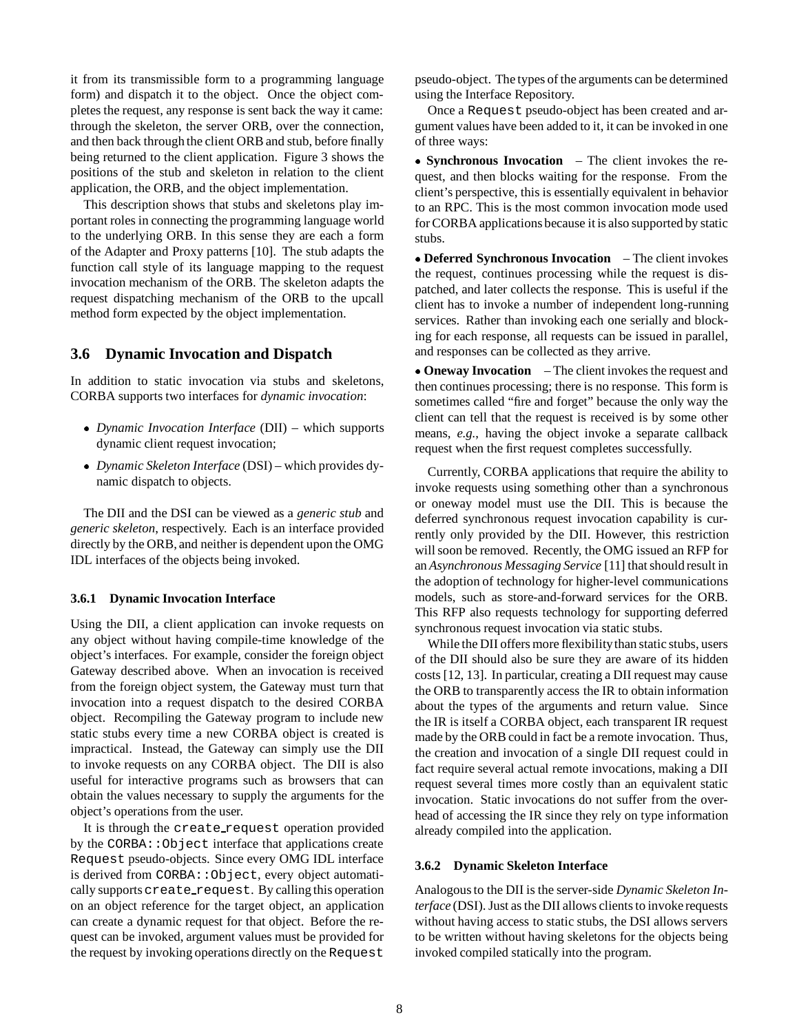it from its transmissible form to a programming language form) and dispatch it to the object. Once the object completes the request, any response is sent back the way it came: through the skeleton, the server ORB, over the connection, and then back through the client ORB and stub, before finally being returned to the client application. Figure 3 shows the positions of the stub and skeleton in relation to the client application, the ORB, and the object implementation.

This description shows that stubs and skeletons play important roles in connecting the programming language world to the underlying ORB. In this sense they are each a form of the Adapter and Proxy patterns [10]. The stub adapts the function call style of its language mapping to the request invocation mechanism of the ORB. The skeleton adapts the request dispatching mechanism of the ORB to the upcall method form expected by the object implementation.

### **3.6 Dynamic Invocation and Dispatch**

In addition to static invocation via stubs and skeletons, CORBA supports two interfaces for *dynamic invocation*:

- *Dynamic Invocation Interface* (DII) which supports dynamic client request invocation;
- *Dynamic Skeleton Interface* (DSI) which provides dynamic dispatch to objects.

The DII and the DSI can be viewed as a *generic stub* and *generic skeleton*, respectively. Each is an interface provided directly by the ORB, and neither is dependent upon the OMG IDL interfaces of the objects being invoked.

#### **3.6.1 Dynamic Invocation Interface**

Using the DII, a client application can invoke requests on any object without having compile-time knowledge of the object's interfaces. For example, consider the foreign object Gateway described above. When an invocation is received from the foreign object system, the Gateway must turn that invocation into a request dispatch to the desired CORBA object. Recompiling the Gateway program to include new static stubs every time a new CORBA object is created is impractical. Instead, the Gateway can simply use the DII to invoke requests on any CORBA object. The DII is also useful for interactive programs such as browsers that can obtain the values necessary to supply the arguments for the object's operations from the user.

It is through the create request operation provided by the CORBA::Object interface that applications create Request pseudo-objects. Since every OMG IDL interface is derived from CORBA::Object, every object automatically supports create\_request. By calling this operation on an object reference for the target object, an application can create a dynamic request for that object. Before the request can be invoked, argument values must be provided for the request by invoking operations directly on the Request

pseudo-object. The types of the arguments can be determined using the Interface Repository.

Once a Request pseudo-object has been created and argument values have been added to it, it can be invoked in one of three ways:

 **Synchronous Invocation** – The client invokes the request, and then blocks waiting for the response. From the client's perspective, this is essentially equivalent in behavior to an RPC. This is the most common invocation mode used for CORBA applications because it is also supported by static stubs.

 **Deferred Synchronous Invocation** – The client invokes the request, continues processing while the request is dispatched, and later collects the response. This is useful if the client has to invoke a number of independent long-running services. Rather than invoking each one serially and blocking for each response, all requests can be issued in parallel, and responses can be collected as they arrive.

 **Oneway Invocation** – The client invokes the request and then continues processing; there is no response. This form is sometimes called "fire and forget" because the only way the client can tell that the request is received is by some other means, *e.g.*, having the object invoke a separate callback request when the first request completes successfully.

Currently, CORBA applications that require the ability to invoke requests using something other than a synchronous or oneway model must use the DII. This is because the deferred synchronous request invocation capability is currently only provided by the DII. However, this restriction will soon be removed. Recently, the OMG issued an RFP for an *Asynchronous Messaging Service* [11] that should result in the adoption of technology for higher-level communications models, such as store-and-forward services for the ORB. This RFP also requests technology for supporting deferred synchronous request invocation via static stubs.

While the DII offers more flexibilitythan static stubs, users of the DII should also be sure they are aware of its hidden costs [12, 13]. In particular, creating a DII request may cause the ORB to transparently access the IR to obtain information about the types of the arguments and return value. Since the IR is itself a CORBA object, each transparent IR request made by the ORB could in fact be a remote invocation. Thus, the creation and invocation of a single DII request could in fact require several actual remote invocations, making a DII request several times more costly than an equivalent static invocation. Static invocations do not suffer from the overhead of accessing the IR since they rely on type information already compiled into the application.

#### **3.6.2 Dynamic Skeleton Interface**

Analogous to the DII is the server-side *Dynamic Skeleton Interface* (DSI). Just as the DII allows clients to invoke requests without having access to static stubs, the DSI allows servers to be written without having skeletons for the objects being invoked compiled statically into the program.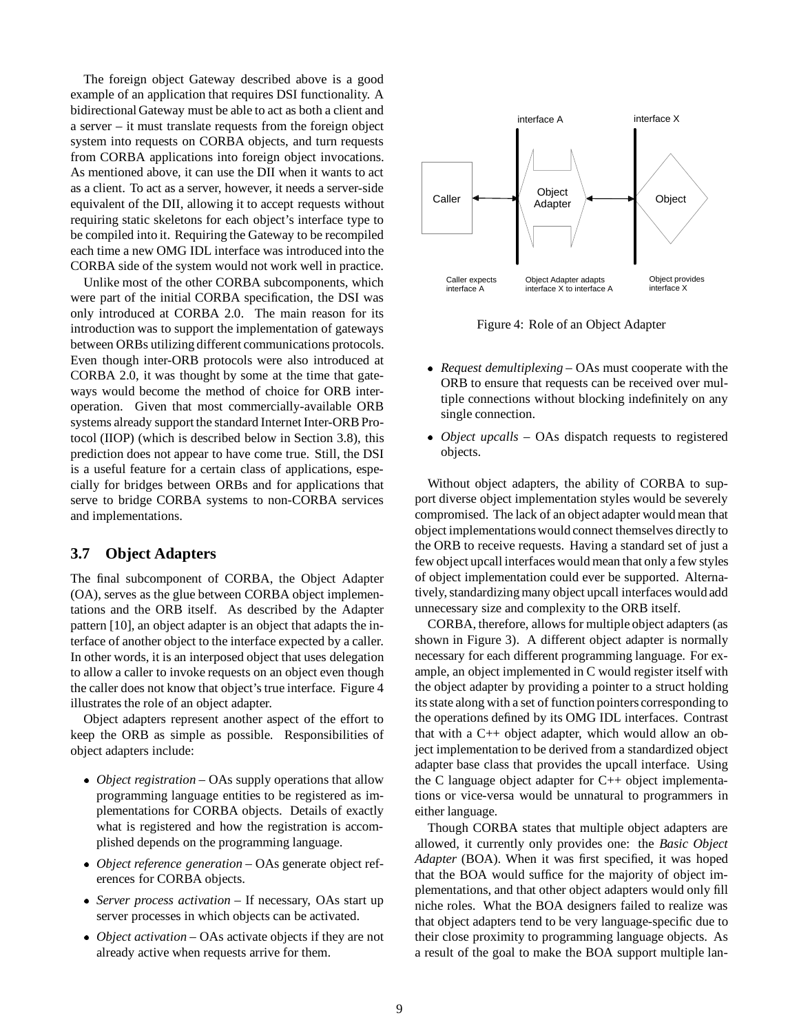The foreign object Gateway described above is a good example of an application that requires DSI functionality. A bidirectional Gateway must be able to act as both a client and a server – it must translate requests from the foreign object system into requests on CORBA objects, and turn requests from CORBA applications into foreign object invocations. As mentioned above, it can use the DII when it wants to act as a client. To act as a server, however, it needs a server-side equivalent of the DII, allowing it to accept requests without requiring static skeletons for each object's interface type to be compiled into it. Requiring the Gateway to be recompiled each time a new OMG IDL interface was introduced into the CORBA side of the system would not work well in practice.

Unlike most of the other CORBA subcomponents, which were part of the initial CORBA specification, the DSI was only introduced at CORBA 2.0. The main reason for its introduction was to support the implementation of gateways between ORBs utilizing different communications protocols. Even though inter-ORB protocols were also introduced at CORBA 2.0, it was thought by some at the time that gateways would become the method of choice for ORB interoperation. Given that most commercially-available ORB systems already support the standard Internet Inter-ORB Protocol (IIOP) (which is described below in Section 3.8), this prediction does not appear to have come true. Still, the DSI is a useful feature for a certain class of applications, especially for bridges between ORBs and for applications that serve to bridge CORBA systems to non-CORBA services and implementations.

#### **3.7 Object Adapters**

The final subcomponent of CORBA, the Object Adapter (OA), serves as the glue between CORBA object implementations and the ORB itself. As described by the Adapter pattern [10], an object adapter is an object that adapts the interface of another object to the interface expected by a caller. In other words, it is an interposed object that uses delegation to allow a caller to invoke requests on an object even though the caller does not know that object's true interface. Figure 4 illustrates the role of an object adapter.

Object adapters represent another aspect of the effort to keep the ORB as simple as possible. Responsibilities of object adapters include:

- *Object registration* OAs supply operations that allow programming language entities to be registered as implementations for CORBA objects. Details of exactly what is registered and how the registration is accomplished depends on the programming language.
- *Object reference generation* OAs generate object references for CORBA objects.
- *Server process activation* If necessary, OAs start up server processes in which objects can be activated.
- *Object activation* OAs activate objects if they are not already active when requests arrive for them.



Figure 4: Role of an Object Adapter

- *Request demultiplexing* OAs must cooperate with the ORB to ensure that requests can be received over multiple connections without blocking indefinitely on any single connection.
- *Object upcalls* OAs dispatch requests to registered objects.

Without object adapters, the ability of CORBA to support diverse object implementation styles would be severely compromised. The lack of an object adapter would mean that object implementations would connect themselves directly to the ORB to receive requests. Having a standard set of just a few object upcall interfaces would mean that only a few styles of object implementation could ever be supported. Alternatively, standardizing many object upcall interfaces would add unnecessary size and complexity to the ORB itself.

CORBA, therefore, allows for multiple object adapters (as shown in Figure 3). A different object adapter is normally necessary for each different programming language. For example, an object implemented in C would register itself with the object adapter by providing a pointer to a struct holding its state along with a set of function pointers corresponding to the operations defined by its OMG IDL interfaces. Contrast that with a C++ object adapter, which would allow an object implementation to be derived from a standardized object adapter base class that provides the upcall interface. Using the C language object adapter for C++ object implementations or vice-versa would be unnatural to programmers in either language.

Though CORBA states that multiple object adapters are allowed, it currently only provides one: the *Basic Object Adapter* (BOA). When it was first specified, it was hoped that the BOA would suffice for the majority of object implementations, and that other object adapters would only fill niche roles. What the BOA designers failed to realize was that object adapters tend to be very language-specific due to their close proximity to programming language objects. As a result of the goal to make the BOA support multiple lan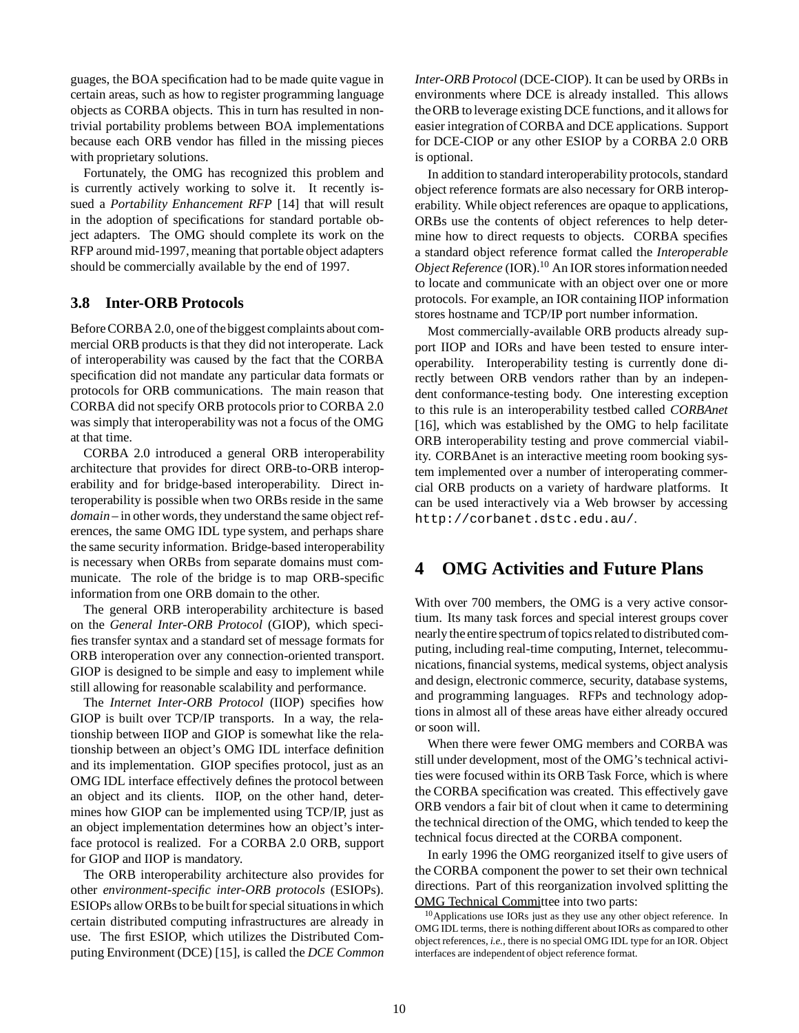guages, the BOA specification had to be made quite vague in certain areas, such as how to register programming language objects as CORBA objects. This in turn has resulted in nontrivial portability problems between BOA implementations because each ORB vendor has filled in the missing pieces with proprietary solutions.

Fortunately, the OMG has recognized this problem and is currently actively working to solve it. It recently issued a *Portability Enhancement RFP* [14] that will result in the adoption of specifications for standard portable object adapters. The OMG should complete its work on the RFP around mid-1997, meaning that portable object adapters should be commercially available by the end of 1997.

### **3.8 Inter-ORB Protocols**

Before CORBA 2.0, one of the biggest complaints about commercial ORB products is that they did not interoperate. Lack of interoperability was caused by the fact that the CORBA specification did not mandate any particular data formats or protocols for ORB communications. The main reason that CORBA did not specify ORB protocols prior to CORBA 2.0 was simply that interoperability was not a focus of the OMG at that time.

CORBA 2.0 introduced a general ORB interoperability architecture that provides for direct ORB-to-ORB interoperability and for bridge-based interoperability. Direct interoperability is possible when two ORBs reside in the same *domain* – in other words, they understand the same object references, the same OMG IDL type system, and perhaps share the same security information. Bridge-based interoperability is necessary when ORBs from separate domains must communicate. The role of the bridge is to map ORB-specific information from one ORB domain to the other.

The general ORB interoperability architecture is based on the *General Inter-ORB Protocol* (GIOP), which specifies transfer syntax and a standard set of message formats for ORB interoperation over any connection-oriented transport. GIOP is designed to be simple and easy to implement while still allowing for reasonable scalability and performance.

The *Internet Inter-ORB Protocol* (IIOP) specifies how GIOP is built over TCP/IP transports. In a way, the relationship between IIOP and GIOP is somewhat like the relationship between an object's OMG IDL interface definition and its implementation. GIOP specifies protocol, just as an OMG IDL interface effectively defines the protocol between an object and its clients. IIOP, on the other hand, determines how GIOP can be implemented using TCP/IP, just as an object implementation determines how an object's interface protocol is realized. For a CORBA 2.0 ORB, support for GIOP and IIOP is mandatory.

The ORB interoperability architecture also provides for other *environment-specific inter-ORB protocols* (ESIOPs). ESIOPs allow ORBs to be built for special situations in which certain distributed computing infrastructures are already in use. The first ESIOP, which utilizes the Distributed Computing Environment (DCE) [15], is called the *DCE Common*

*Inter-ORB Protocol* (DCE-CIOP). It can be used by ORBs in environments where DCE is already installed. This allows the ORB to leverage existing DCE functions, and it allows for easier integration of CORBA and DCE applications. Support for DCE-CIOP or any other ESIOP by a CORBA 2.0 ORB is optional.

In addition to standard interoperability protocols, standard object reference formats are also necessary for ORB interoperability. While object references are opaque to applications, ORBs use the contents of object references to help determine how to direct requests to objects. CORBA specifies a standard object reference format called the *Interoperable Object Reference* (IOR).<sup>10</sup> An IOR stores information needed to locate and communicate with an object over one or more protocols. For example, an IOR containing IIOP information stores hostname and TCP/IP port number information.

Most commercially-available ORB products already support IIOP and IORs and have been tested to ensure interoperability. Interoperability testing is currently done directly between ORB vendors rather than by an independent conformance-testing body. One interesting exception to this rule is an interoperability testbed called *CORBAnet* [16], which was established by the OMG to help facilitate ORB interoperability testing and prove commercial viability. CORBAnet is an interactive meeting room booking system implemented over a number of interoperating commercial ORB products on a variety of hardware platforms. It can be used interactively via a Web browser by accessing http://corbanet.dstc.edu.au/.

## **4 OMG Activities and Future Plans**

With over 700 members, the OMG is a very active consortium. Its many task forces and special interest groups cover nearly the entire spectrum of topics related to distributed computing, including real-time computing, Internet, telecommunications, financial systems, medical systems, object analysis and design, electronic commerce, security, database systems, and programming languages. RFPs and technology adoptions in almost all of these areas have either already occured or soon will.

When there were fewer OMG members and CORBA was still under development, most of the OMG's technical activities were focused within its ORB Task Force, which is where the CORBA specification was created. This effectively gave ORB vendors a fair bit of clout when it came to determining the technical direction of the OMG, which tended to keep the technical focus directed at the CORBA component.

In early 1996 the OMG reorganized itself to give users of the CORBA component the power to set their own technical directions. Part of this reorganization involved splitting the OMG Technical Committee into two parts:

<sup>&</sup>lt;sup>10</sup>Applications use IORs just as they use any other object reference. In OMG IDL terms, there is nothing different about IORs as compared to other object references, *i.e.*, there is no special OMG IDL type for an IOR. Object interfaces are independent of object reference format.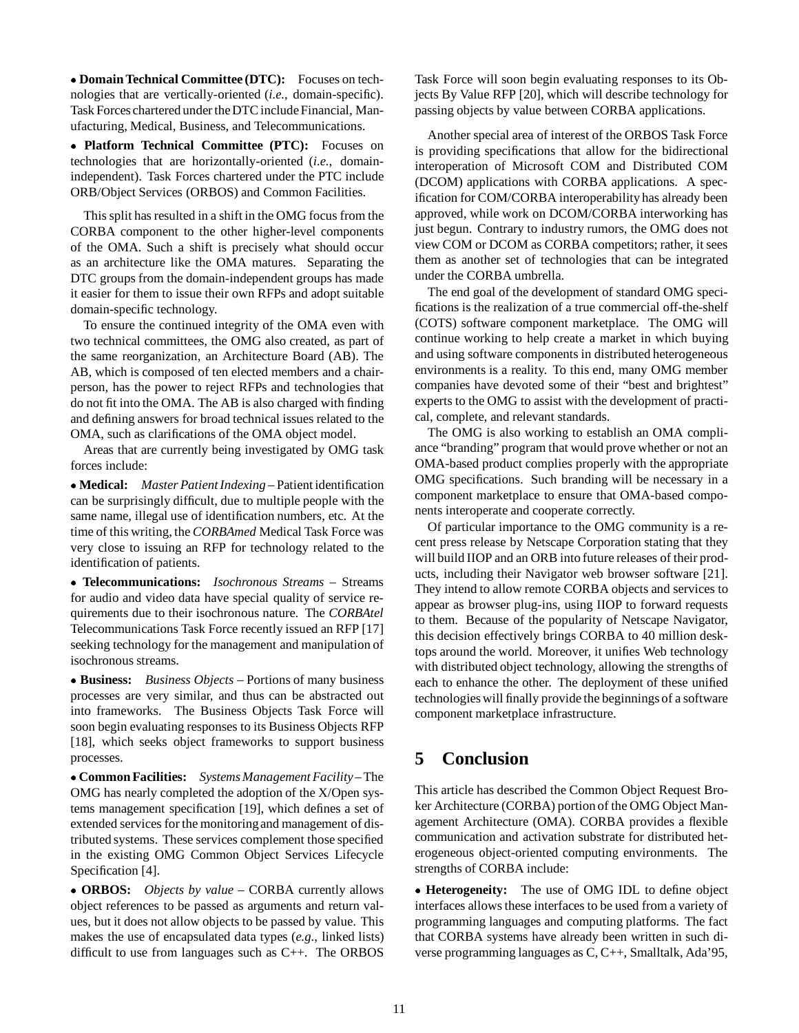**Domain Technical Committee (DTC):** Focuses on technologies that are vertically-oriented (*i.e.*, domain-specific). Task Forces chartered under the DTC include Financial, Manufacturing, Medical, Business, and Telecommunications.

 **Platform Technical Committee (PTC):** Focuses on technologies that are horizontally-oriented (*i.e.*, domainindependent). Task Forces chartered under the PTC include ORB/Object Services (ORBOS) and Common Facilities.

This split has resulted in a shift in the OMG focus from the CORBA component to the other higher-level components of the OMA. Such a shift is precisely what should occur as an architecture like the OMA matures. Separating the DTC groups from the domain-independent groups has made it easier for them to issue their own RFPs and adopt suitable domain-specific technology.

To ensure the continued integrity of the OMA even with two technical committees, the OMG also created, as part of the same reorganization, an Architecture Board (AB). The AB, which is composed of ten elected members and a chairperson, has the power to reject RFPs and technologies that do not fit into the OMA. The AB is also charged with finding and defining answers for broad technical issues related to the OMA, such as clarifications of the OMA object model.

Areas that are currently being investigated by OMG task forces include:

 **Medical:** *Master Patient Indexing* – Patient identification can be surprisingly difficult, due to multiple people with the same name, illegal use of identification numbers, etc. At the time of this writing, the *CORBAmed* Medical Task Force was very close to issuing an RFP for technology related to the identification of patients.

 **Telecommunications:** *Isochronous Streams* – Streams for audio and video data have special quality of service requirements due to their isochronous nature. The *CORBAtel* Telecommunications Task Force recently issued an RFP [17] seeking technology for the management and manipulation of isochronous streams.

 **Business:** *Business Objects* – Portions of many business processes are very similar, and thus can be abstracted out into frameworks. The Business Objects Task Force will soon begin evaluating responses to its Business Objects RFP [18], which seeks object frameworks to support business processes.

 **Common Facilities:** *Systems Management Facility* – The OMG has nearly completed the adoption of the X/Open systems management specification [19], which defines a set of extended services for the monitoringand management of distributed systems. These services complement those specified in the existing OMG Common Object Services Lifecycle Specification [4].

 **ORBOS:** *Objects by value* – CORBA currently allows object references to be passed as arguments and return values, but it does not allow objects to be passed by value. This makes the use of encapsulated data types (*e.g.*, linked lists) difficult to use from languages such as C++. The ORBOS

Task Force will soon begin evaluating responses to its Objects By Value RFP [20], which will describe technology for passing objects by value between CORBA applications.

Another special area of interest of the ORBOS Task Force is providing specifications that allow for the bidirectional interoperation of Microsoft COM and Distributed COM (DCOM) applications with CORBA applications. A specification for COM/CORBA interoperability has already been approved, while work on DCOM/CORBA interworking has just begun. Contrary to industry rumors, the OMG does not view COM or DCOM as CORBA competitors; rather, it sees them as another set of technologies that can be integrated under the CORBA umbrella.

The end goal of the development of standard OMG specifications is the realization of a true commercial off-the-shelf (COTS) software component marketplace. The OMG will continue working to help create a market in which buying and using software components in distributed heterogeneous environments is a reality. To this end, many OMG member companies have devoted some of their "best and brightest" experts to the OMG to assist with the development of practical, complete, and relevant standards.

The OMG is also working to establish an OMA compliance "branding" program that would prove whether or not an OMA-based product complies properly with the appropriate OMG specifications. Such branding will be necessary in a component marketplace to ensure that OMA-based components interoperate and cooperate correctly.

Of particular importance to the OMG community is a recent press release by Netscape Corporation stating that they will build IIOP and an ORB into future releases of their products, including their Navigator web browser software [21]. They intend to allow remote CORBA objects and services to appear as browser plug-ins, using IIOP to forward requests to them. Because of the popularity of Netscape Navigator, this decision effectively brings CORBA to 40 million desktops around the world. Moreover, it unifies Web technology with distributed object technology, allowing the strengths of each to enhance the other. The deployment of these unified technologies will finally provide the beginnings of a software component marketplace infrastructure.

## **5 Conclusion**

This article has described the Common Object Request Broker Architecture (CORBA) portion of the OMG Object Management Architecture (OMA). CORBA provides a flexible communication and activation substrate for distributed heterogeneous object-oriented computing environments. The strengths of CORBA include:

 **Heterogeneity:** The use of OMG IDL to define object interfaces allows these interfaces to be used from a variety of programming languages and computing platforms. The fact that CORBA systems have already been written in such diverse programming languages as C, C++, Smalltalk, Ada'95,